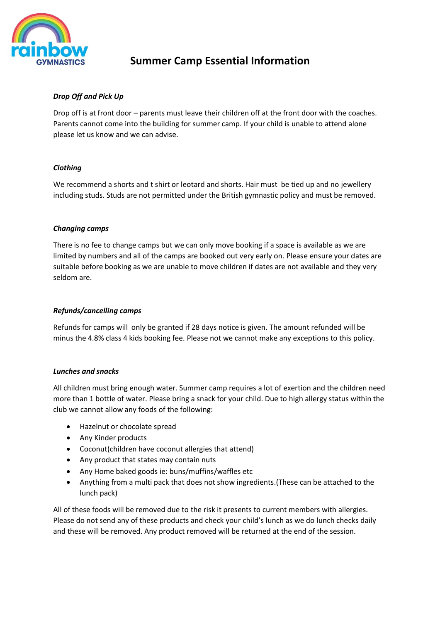

# **Summer Camp Essential Information**

#### *Drop Off and Pick Up*

Drop off is at front door – parents must leave their children off at the front door with the coaches. Parents cannot come into the building for summer camp. If your child is unable to attend alone please let us know and we can advise.

#### *Clothing*

We recommend a shorts and t shirt or leotard and shorts. Hair must be tied up and no jewellery including studs. Studs are not permitted under the British gymnastic policy and must be removed.

#### *Changing camps*

There is no fee to change camps but we can only move booking if a space is available as we are limited by numbers and all of the camps are booked out very early on. Please ensure your dates are suitable before booking as we are unable to move children if dates are not available and they very seldom are.

### *Refunds/cancelling camps*

Refunds for camps will only be granted if 28 days notice is given. The amount refunded will be minus the 4.8% class 4 kids booking fee. Please not we cannot make any exceptions to this policy.

#### *Lunches and snacks*

All children must bring enough water. Summer camp requires a lot of exertion and the children need more than 1 bottle of water. Please bring a snack for your child. Due to high allergy status within the club we cannot allow any foods of the following:

- Hazelnut or chocolate spread
- Any Kinder products
- Coconut(children have coconut allergies that attend)
- Any product that states may contain nuts
- Any Home baked goods ie: buns/muffins/waffles etc
- Anything from a multi pack that does not show ingredients.(These can be attached to the lunch pack)

All of these foods will be removed due to the risk it presents to current members with allergies. Please do not send any of these products and check your child's lunch as we do lunch checks daily and these will be removed. Any product removed will be returned at the end of the session.